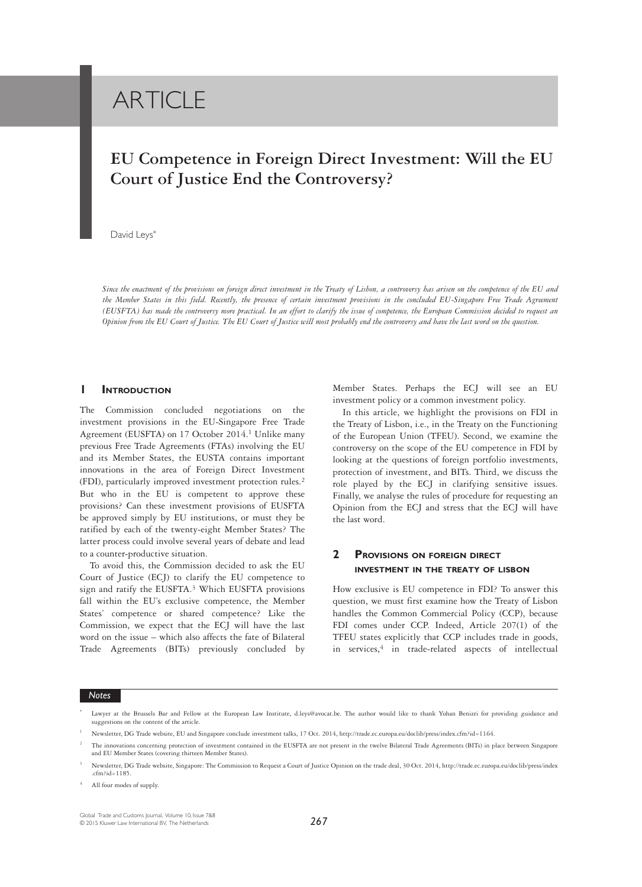# **ARTICLE**

# **EU Competence in Foreign Direct Investment: Will the EU Court of Justice End the Controversy?**

#### David Leys<sup>\*</sup>

*Since the enactment of the provisions on foreign direct investment in the Treaty of Lisbon, a controversy has arisen on the competence of the EU and the Member States in this field. Recently, the presence of certain investment provisions in the concluded EU-Singapore Free Trade Agreement (EUSFTA) has made the controversy more practical. In an effort to clarify the issue of competence, the European Commission decided to request an Opinion from the EU Court of Justice. The EU Court of Justice will most probably end the controversy and have the last word on the question.*

#### **1 INTRODUCTION**

The Commission concluded negotiations on the investment provisions in the EU-Singapore Free Trade Agreement (EUSFTA) on 17 October 2014.<sup>1</sup> Unlike many previous Free Trade Agreements (FTAs) involving the EU and its Member States, the EUSTA contains important innovations in the area of Foreign Direct Investment (FDI), particularly improved investment protection rules.<sup>2</sup> But who in the EU is competent to approve these provisions? Can these investment provisions of EUSFTA be approved simply by EU institutions, or must they be ratified by each of the twenty-eight Member States? The latter process could involve several years of debate and lead to a counter-productive situation.

To avoid this, the Commission decided to ask the EU Court of Justice (ECJ) to clarify the EU competence to sign and ratify the EUSFTA.3 Which EUSFTA provisions fall within the EU's exclusive competence, the Member States' competence or shared competence? Like the Commission, we expect that the ECJ will have the last word on the issue – which also affects the fate of Bilateral Trade Agreements (BITs) previously concluded by Member States. Perhaps the ECJ will see an EU investment policy or a common investment policy.

In this article, we highlight the provisions on FDI in the Treaty of Lisbon, i.e., in the Treaty on the Functioning of the European Union (TFEU). Second, we examine the controversy on the scope of the EU competence in FDI by looking at the questions of foreign portfolio investments, protection of investment, and BITs. Third, we discuss the role played by the ECJ in clarifying sensitive issues. Finally, we analyse the rules of procedure for requesting an Opinion from the ECJ and stress that the ECJ will have the last word.

# **2 PROVISIONS ON FOREIGN DIRECT INVESTMENT IN THE TREATY OF LISBON**

How exclusive is EU competence in FDI? To answer this question, we must first examine how the Treaty of Lisbon handles the Common Commercial Policy (CCP), because FDI comes under CCP. Indeed, Article 207(1) of the TFEU states explicitly that CCP includes trade in goods, in services, $4$  in trade-related aspects of intellectual

Lawyer at the Brussels Bar and Fellow at the European Law Institute, d.leys@avocat.be. The author would like to thank Yohan Benizri for providing guidance and suggestions on the content of the article.

<sup>1</sup> Newsletter, DG Trade website, EU and Singapore conclude investment talks, 17 Oct. 2014, http://trade.ec.europa.eu/doclib/press/index.cfm?id=1164.

<sup>2</sup> The innovations concerning protection of investment contained in the EUSFTA are not present in the twelve Bilateral Trade Agreements (BITs) in place between Singapore and EU Member States (covering thirteen Member States).

<sup>3</sup> Newsletter, DG Trade website, Singapore: The Commission to Request a Court of Justice Opinion on the trade deal, 30 Oct. 2014, http://trade.ec.europa.eu/doclib/press/index  $cfm$ ?id=1185.

<sup>4</sup> All four modes of supply.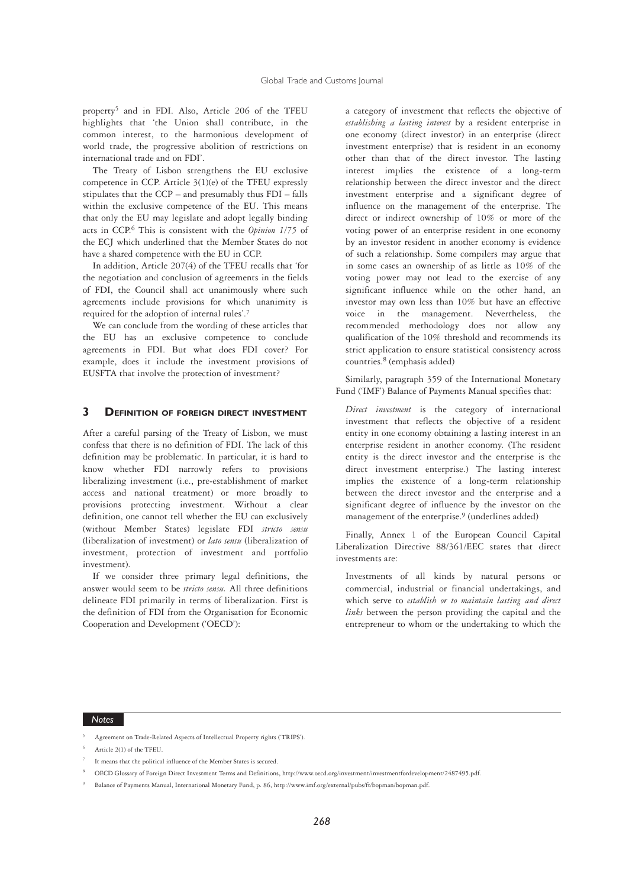property5 and in FDI. Also, Article 206 of the TFEU highlights that 'the Union shall contribute, in the common interest, to the harmonious development of world trade, the progressive abolition of restrictions on international trade and on FDI'.

The Treaty of Lisbon strengthens the EU exclusive competence in CCP. Article 3(1)(e) of the TFEU expressly stipulates that the CCP – and presumably thus FDI – falls within the exclusive competence of the EU. This means that only the EU may legislate and adopt legally binding acts in CCP.6 This is consistent with the *Opinion 1/75* of the ECJ which underlined that the Member States do not have a shared competence with the EU in CCP.

In addition, Article 207(4) of the TFEU recalls that 'for the negotiation and conclusion of agreements in the fields of FDI, the Council shall act unanimously where such agreements include provisions for which unanimity is required for the adoption of internal rules'.7

We can conclude from the wording of these articles that the EU has an exclusive competence to conclude agreements in FDI. But what does FDI cover? For example, does it include the investment provisions of EUSFTA that involve the protection of investment?

## **3** DEFINITION OF FOREIGN DIRECT INVESTMENT

After a careful parsing of the Treaty of Lisbon, we must confess that there is no definition of FDI. The lack of this definition may be problematic. In particular, it is hard to know whether FDI narrowly refers to provisions liberalizing investment (i.e., pre-establishment of market access and national treatment) or more broadly to provisions protecting investment. Without a clear definition, one cannot tell whether the EU can exclusively (without Member States) legislate FDI *stricto sensu* (liberalization of investment) or *lato sensu* (liberalization of investment, protection of investment and portfolio investment).

If we consider three primary legal definitions, the answer would seem to be *stricto sensu.* All three definitions delineate FDI primarily in terms of liberalization. First is the definition of FDI from the Organisation for Economic Cooperation and Development ('OECD'):

a category of investment that reflects the objective of *establishing a lasting interest* by a resident enterprise in one economy (direct investor) in an enterprise (direct investment enterprise) that is resident in an economy other than that of the direct investor. The lasting interest implies the existence of a long-term relationship between the direct investor and the direct investment enterprise and a significant degree of influence on the management of the enterprise. The direct or indirect ownership of 10% or more of the voting power of an enterprise resident in one economy by an investor resident in another economy is evidence of such a relationship. Some compilers may argue that in some cases an ownership of as little as 10% of the voting power may not lead to the exercise of any significant influence while on the other hand, an investor may own less than 10% but have an effective voice in the management. Nevertheless, the recommended methodology does not allow any qualification of the 10% threshold and recommends its strict application to ensure statistical consistency across countries.8 (emphasis added)

Similarly, paragraph 359 of the International Monetary Fund ('IMF') Balance of Payments Manual specifies that:

*Direct investment* is the category of international investment that reflects the objective of a resident entity in one economy obtaining a lasting interest in an enterprise resident in another economy. (The resident entity is the direct investor and the enterprise is the direct investment enterprise.) The lasting interest implies the existence of a long-term relationship between the direct investor and the enterprise and a significant degree of influence by the investor on the management of the enterprise.<sup>9</sup> (underlines added)

Finally, Annex 1 of the European Council Capital Liberalization Directive 88/361/EEC states that direct investments are:

Investments of all kinds by natural persons or commercial, industrial or financial undertakings, and which serve to *establish or to maintain lasting and direct links* between the person providing the capital and the entrepreneur to whom or the undertaking to which the

#### *Notes*

<sup>5</sup> Agreement on Trade-Related Aspects of Intellectual Property rights ('TRIPS').

- It means that the political influence of the Member States is secured.
- <sup>8</sup> OECD Glossary of Foreign Direct Investment Terms and Definitions, http://www.oecd.org/investment/investmentfordevelopment/2487495.pdf.

<sup>6</sup> Article 2(1) of the TFEU.

<sup>9</sup> Balance of Payments Manual, International Monetary Fund, p. 86, http://www.imf.org/external/pubs/ft/bopman/bopman.pdf.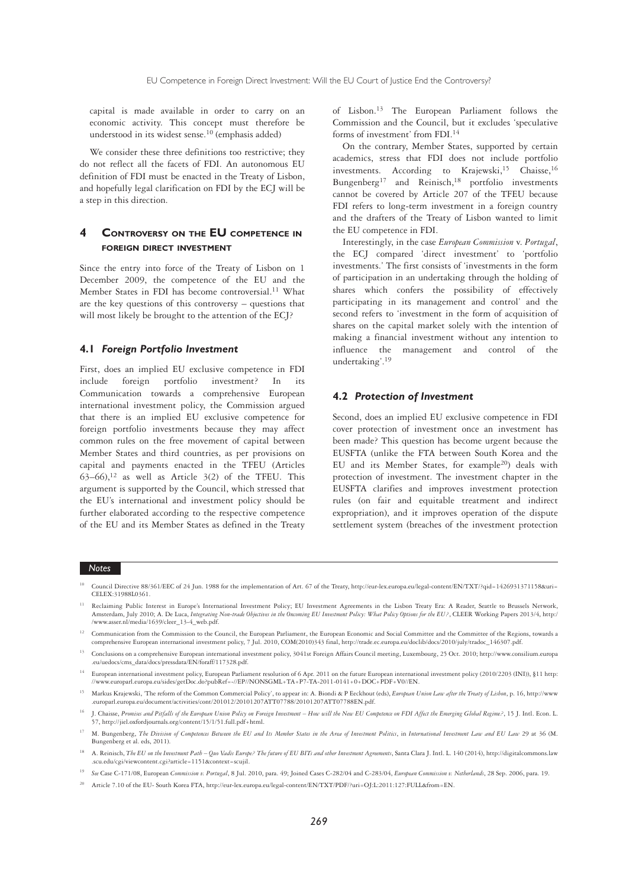capital is made available in order to carry on an economic activity. This concept must therefore be understood in its widest sense.10 (emphasis added)

We consider these three definitions too restrictive; they do not reflect all the facets of FDI. An autonomous EU definition of FDI must be enacted in the Treaty of Lisbon, and hopefully legal clarification on FDI by the ECJ will be a step in this direction.

# **4 CONTROVERSY ON THE EU COMPETENCE IN FOREIGN DIRECT INVESTMENT**

Since the entry into force of the Treaty of Lisbon on 1 December 2009, the competence of the EU and the Member States in FDI has become controversial.<sup>11</sup> What are the key questions of this controversy – questions that will most likely be brought to the attention of the ECJ?

#### **4.1** *Foreign Portfolio Investment*

First, does an implied EU exclusive competence in FDI include foreign portfolio investment? In its Communication towards a comprehensive European international investment policy, the Commission argued that there is an implied EU exclusive competence for foreign portfolio investments because they may affect common rules on the free movement of capital between Member States and third countries, as per provisions on capital and payments enacted in the TFEU (Articles  $63-66$ ,<sup>12</sup> as well as Article 3(2) of the TFEU. This argument is supported by the Council, which stressed that the EU's international and investment policy should be further elaborated according to the respective competence of the EU and its Member States as defined in the Treaty of Lisbon.13 The European Parliament follows the Commission and the Council, but it excludes 'speculative forms of investment' from FDI.14

On the contrary, Member States, supported by certain academics, stress that FDI does not include portfolio investments. According to Krajewski,<sup>15</sup> Chaisse,<sup>16</sup> Bungenberg<sup>17</sup> and Reinisch,<sup>18</sup> portfolio investments cannot be covered by Article 207 of the TFEU because FDI refers to long-term investment in a foreign country and the drafters of the Treaty of Lisbon wanted to limit the EU competence in FDI.

Interestingly, in the case *European Commission* v. *Portugal*, the ECJ compared 'direct investment' to 'portfolio investments.' The first consists of 'investments in the form of participation in an undertaking through the holding of shares which confers the possibility of effectively participating in its management and control' and the second refers to 'investment in the form of acquisition of shares on the capital market solely with the intention of making a financial investment without any intention to influence the management and control of undertaking'.19

#### **4.2** *Protection of Investment*

Second, does an implied EU exclusive competence in FDI cover protection of investment once an investment has been made? This question has become urgent because the EUSFTA (unlike the FTA between South Korea and the EU and its Member States, for example20) deals with protection of investment. The investment chapter in the EUSFTA clarifies and improves investment protection rules (on fair and equitable treatment and indirect expropriation), and it improves operation of the dispute settlement system (breaches of the investment protection

- <sup>10</sup> Council Directive 88/361/EEC of 24 Jun. 1988 for the implementation of Art. 67 of the Treaty, http://eur-lex.europa.eu/legal-content/EN/TXT/?qid=1426931371158&uri= CELEX:31988L0361.
- <sup>11</sup> Reclaiming Public Interest in Europe's International Investment Policy; EU Investment Agreements in the Lisbon Treaty Era: A Reader, Seattle to Brussels Network, Amsterdam, July 2010; A. De Luca, *Integrating Non-trade Objectives in the Oncoming EU Investment Policy: What Policy Options for the EU?*, CLEER Working Papers 2013/4, http:/ /www.asser.nl/media/1639/cleer\_13-4\_web.pdf.
- <sup>12</sup> Communication from the Commission to the Council, the European Parliament, the European Economic and Social Committee and the Committee of the Regions, towards a comprehensive European international investment policy, 7 Jul. 2010, COM(2010)343 final, http://trade.ec.europa.eu/doclib/docs/2010/july/tradoc\_146307.pdf.
- <sup>13</sup> Conclusions on a comprehensive European international investment policy, 3041st Foreign Affairs Council meeting, Luxembourg, 25 Oct. 2010; http://www.consilium.europa .eu/uedocs/cms\_data/docs/pressdata/EN/foraff/117328.pdf.
- <sup>14</sup> European international investment policy, European Parliament resolution of 6 Apr. 2011 on the future European international investment policy (2010/2203 (INI)), §11 http: //www.europarl.europa.eu/sides/getDoc.do?pubRef=-//EP//NONSGML+TA+P7-TA-2011-0141+0+DOC+PDF+V0//EN.
- <sup>15</sup> Markus Krajewski, 'The reform of the Common Commercial Policy', to appear in: A. Biondi & P Eeckhout (eds), *European Union Law after the Treaty of Lisbon*, p. 16, http://www .europarl.europa.eu/document/activities/cont/201012/20101207ATT07788/20101207ATT07788EN.pdf.
- <sup>16</sup> J. Chaisse, *Promises and Pitfalls of the European Union Policy on Foreign Investment How will the New EU Competence on FDI Affect the Emerging Global Regime?*, 15 J. Intl. Econ. L. 57, http://jiel.oxfordjournals.org/content/15/1/51.full.pdf+html.
- <sup>17</sup> M. Bungenberg, *The Division of Competences Between the EU and Its Member States in the Area of Investment Politics, in International Investment Law and EU Law 29 at 36 (M.* Bungenberg et al. eds, 2011).
- <sup>18</sup> A. Reinisch, *The EU on the Investment Path Quo Vadis Europe? The future of EU BITs and other Investment Agreements, Santa Clara J. Intl. L. 140 (2014), http://digitalcommons.law* .scu.edu/cgi/viewcontent.cgi?article=1151&context=scujil.
- <sup>19</sup> *See* Case C-171/08, European *Commission v. Portugal*, 8 Jul. 2010, para. 49; Joined Cases C-282/04 and C-283/04, *European Commission v. Netherlands*, 28 Sep. 2006, para. 19.
- <sup>20</sup> Article 7.10 of the EU- South Korea FTA, http://eur-lex.europa.eu/legal-content/EN/TXT/PDF/?uri=OJ:L:2011:127:FULL&from=EN.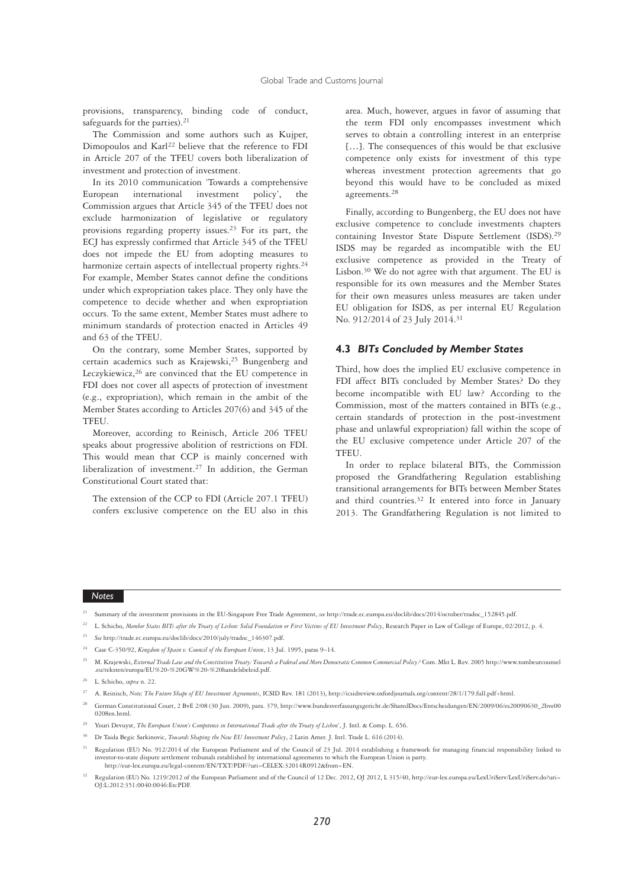provisions, transparency, binding code of conduct, safeguards for the parties).<sup>21</sup>

The Commission and some authors such as Kujper, Dimopoulos and Karl<sup>22</sup> believe that the reference to FDI in Article 207 of the TFEU covers both liberalization of investment and protection of investment.

In its 2010 communication 'Towards a comprehensive European international investment policy', the Commission argues that Article 345 of the TFEU does not exclude harmonization of legislative or regulatory provisions regarding property issues.23 For its part, the ECJ has expressly confirmed that Article 345 of the TFEU does not impede the EU from adopting measures to harmonize certain aspects of intellectual property rights.<sup>24</sup> For example, Member States cannot define the conditions under which expropriation takes place. They only have the competence to decide whether and when expropriation occurs. To the same extent, Member States must adhere to minimum standards of protection enacted in Articles 49 and 63 of the TFEU.

On the contrary, some Member States, supported by certain academics such as Krajewski,25 Bungenberg and Leczykiewicz,<sup>26</sup> are convinced that the EU competence in FDI does not cover all aspects of protection of investment (e.g., expropriation), which remain in the ambit of the Member States according to Articles 207(6) and 345 of the TFEU.

Moreover, according to Reinisch, Article 206 TFEU speaks about progressive abolition of restrictions on FDI. This would mean that CCP is mainly concerned with liberalization of investment.<sup>27</sup> In addition, the German Constitutional Court stated that:

The extension of the CCP to FDI (Article 207.1 TFEU) confers exclusive competence on the EU also in this area. Much, however, argues in favor of assuming that the term FDI only encompasses investment which serves to obtain a controlling interest in an enterprise […]. The consequences of this would be that exclusive competence only exists for investment of this type whereas investment protection agreements that go beyond this would have to be concluded as mixed agreements.28

Finally, according to Bungenberg, the EU does not have exclusive competence to conclude investments chapters containing Investor State Dispute Settlement (ISDS).29 ISDS may be regarded as incompatible with the EU exclusive competence as provided in the Treaty of Lisbon.30 We do not agree with that argument. The EU is responsible for its own measures and the Member States for their own measures unless measures are taken under EU obligation for ISDS, as per internal EU Regulation No. 912/2014 of 23 July 2014.31

### **4.3** *BITs Concluded by Member States*

Third, how does the implied EU exclusive competence in FDI affect BITs concluded by Member States? Do they become incompatible with EU law? According to the Commission, most of the matters contained in BITs (e.g., certain standards of protection in the post-investment phase and unlawful expropriation) fall within the scope of the EU exclusive competence under Article 207 of the **TFEU** 

In order to replace bilateral BITs, the Commission proposed the Grandfathering Regulation establishing transitional arrangements for BITs between Member States and third countries.32 It entered into force in January 2013. The Grandfathering Regulation is not limited to

- <sup>21</sup> Summary of the investment provisions in the EU-Singapore Free Trade Agreement, *see* http://trade.ec.europa.eu/doclib/docs/2014/october/tradoc\_152845.pdf.
- <sup>22</sup> L. Schicho, Member States BITs after the Treaty of Lisbon: Solid Foundation or First Victims of EU Investment Policy, Research Paper in Law of College of Europe, 02/2012, p. 4.
- <sup>23</sup> *See* http://trade.ec.europa.eu/doclib/docs/2010/july/tradoc\_146307.pdf.
- <sup>24</sup> Case C-350/92, *Kingdom of Spain v. Council of the European Union*, 13 Jul. 1995, paras 9–14.
- <sup>25</sup> M. Krajewski, *External Trade Law and the Constitution Treaty: Towards a Federal and More Democratic Common Commercial Policy? Com. Mkt L. Rev. 2005 http://www.tombeurcounsel* .eu/teksten/europa/EU%20-%20GW%20-%20handelsbeleid.pdf.
- <sup>26</sup> L. Schicho, *supra* n. 22.
- <sup>27</sup> A. Reinisch, *Note; The Future Shape of EU Investment Agreements*, ICSID Rev. 181 (2013), http://icsidreview.oxfordjournals.org/content/28/1/179.full.pdf+html.
- <sup>28</sup> German Constitutional Court, 2 BvE 2/08 (30 Jun. 2009), para. 379, http://www.bundesverfassungsgericht.de/SharedDocs/Entscheidungen/EN/2009/06/es20090630\_2bve00 0208en.html.
- <sup>29</sup> Youri Devuyst, *The European Union's Competence in International Trade after the Treaty of Lisbon*', J. Intl. & Comp. L. 656.
- <sup>30</sup> Dr Taida Begic Sarkinovic, *Towards Shaping the New EU Investment Policy*, 2 Latin Amer. J. Intl. Trade L. 616 (2014).
- Regulation (EU) No. 912/2014 of the European Parliament and of the Council of 23 Jul. 2014 establishing a framework for managing financial responsibility linked to investor-to-state dispute settlement tribunals established by international agreements to which the European Union is party. http://eur-lex.europa.eu/legal-content/EN/TXT/PDF/?uri=CELEX:32014R0912&from=EN.
- <sup>32</sup> Regulation (EU) No. 1219/2012 of the European Parliament and of the Council of 12 Dec. 2012, OJ 2012, L 315/40, http://eur-lex.europa.eu/LexUriServ/LexUriServ.do?uri= OJ:L:2012:351:0040:0046:En:PDF.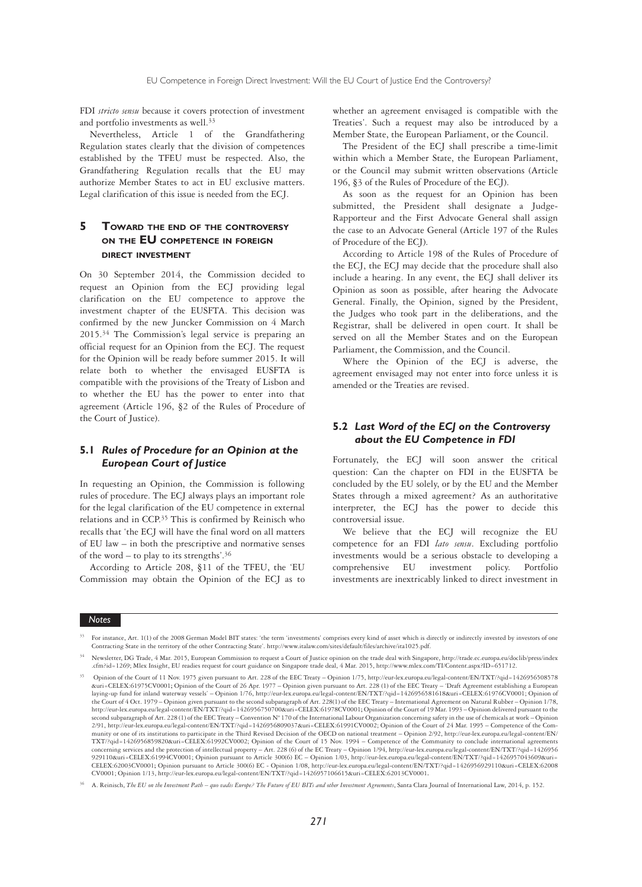FDI *stricto sensu* because it covers protection of investment and portfolio investments as well.<sup>33</sup>

Nevertheless, Article 1 of the Grandfathering Regulation states clearly that the division of competences established by the TFEU must be respected. Also, the Grandfathering Regulation recalls that the EU may authorize Member States to act in EU exclusive matters. Legal clarification of this issue is needed from the ECJ.

# **5 TOWARD THE END OF THE CONTROVERSY ON THE EU COMPETENCE IN FOREIGN DIRECT INVESTMENT**

On 30 September 2014, the Commission decided to request an Opinion from the ECJ providing legal clarification on the EU competence to approve the investment chapter of the EUSFTA. This decision was confirmed by the new Juncker Commission on 4 March 2015.34 The Commission's legal service is preparing an official request for an Opinion from the ECJ. The request for the Opinion will be ready before summer 2015. It will relate both to whether the envisaged EUSFTA is compatible with the provisions of the Treaty of Lisbon and to whether the EU has the power to enter into that agreement (Article 196, §2 of the Rules of Procedure of the Court of Justice).

# **5.1** *Rules of Procedure for an Opinion at the European Court of Justice*

In requesting an Opinion, the Commission is following rules of procedure. The ECJ always plays an important role for the legal clarification of the EU competence in external relations and in CCP.35 This is confirmed by Reinisch who recalls that 'the ECJ will have the final word on all matters of EU law – in both the prescriptive and normative senses of the word – to play to its strengths'. $36$ 

According to Article 208, §11 of the TFEU, the 'EU Commission may obtain the Opinion of the ECJ as to whether an agreement envisaged is compatible with the Treaties'. Such a request may also be introduced by a Member State, the European Parliament, or the Council.

The President of the ECJ shall prescribe a time-limit within which a Member State, the European Parliament, or the Council may submit written observations (Article 196, §3 of the Rules of Procedure of the ECJ).

As soon as the request for an Opinion has been submitted, the President shall designate a Judge-Rapporteur and the First Advocate General shall assign the case to an Advocate General (Article 197 of the Rules of Procedure of the ECJ).

According to Article 198 of the Rules of Procedure of the ECJ, the ECJ may decide that the procedure shall also include a hearing. In any event, the ECJ shall deliver its Opinion as soon as possible, after hearing the Advocate General. Finally, the Opinion, signed by the President, the Judges who took part in the deliberations, and the Registrar, shall be delivered in open court. It shall be served on all the Member States and on the European Parliament, the Commission, and the Council.

Where the Opinion of the ECJ is adverse, the agreement envisaged may not enter into force unless it is amended or the Treaties are revised.

# **5.2** *Last Word of the ECJ on the Controversy about the EU Competence in FDI*

Fortunately, the ECJ will soon answer the critical question: Can the chapter on FDI in the EUSFTA be concluded by the EU solely, or by the EU and the Member States through a mixed agreement? As an authoritative interpreter, the ECJ has the power to decide this controversial issue.

We believe that the ECJ will recognize the EU competence for an FDI *lato sensu*. Excluding portfolio investments would be a serious obstacle to developing a comprehensive EU investment policy. Portfolio investments are inextricably linked to direct investment in

<sup>33</sup> For instance, Art. 1(1) of the 2008 German Model BIT states: 'the term 'investments' comprises every kind of asset which is directly or indirectly invested by investors of one Contracting State in the territory of the other Contracting State'. http://www.italaw.com/sites/default/files/archive/ita1025.pdf.

<sup>34</sup> Newsletter, DG Trade, 4 Mar. 2015, European Commission to request a Court of Justice opinion on the trade deal with Singapore, http://trade.ec.europa.eu/doclib/press/index .cfm?id=1269; Mlex Insight, EU readies request for court guidance on Singapore trade deal, 4 Mar. 2015, http://www.mlex.com/TI/Content.aspx?ID=651712.

<sup>35</sup> Opinion of the Court of 11 Nov. 1975 given pursuant to Art. 228 of the EEC Treaty – Opinion 1/75, http://eur-lex.europa.eu/legal-content/EN/TXT/?qid=1426956508578 &uri=CELEX:61975CV0001**;** Opinion of the Court of 26 Apr. 1977 – Opinion given pursuant to Art. 228 (1) of the EEC Treaty – 'Draft Agreement establishing a European laying-up fund for inland waterway vessels' – Opinion 1/76, http://eur-lex.europa.eu/legal-content/EN/TXT/?qid=1426956581618&uri=CELEX:61976CV0001; Opinion of the Court of 4 Oct. 1979 – Opinion given pursuant to the second subparagraph of Art. 228(1) of the EEC Treaty – International Agreement on Natural Rubber – Opinion 1/78.<br>http://eur-lex.europa.eu/legal-content/EN/TXT/?qid=1 second subparagraph of Art. 228 (1) of the EEC Treaty – Convention N° 170 of the International Labour Organization concerning safety in the use of chemicals at work – Opinion 2/91, http://eur-lex.europa.eu/legal-content/EN/TXT/?qid=1426956809037&uri=CELEX:61991CV0002; Opinion of the Court of 24 Mar. 1995 – Competence of the Community or one of its institutions to participate in the Third Revised Decision of the OECD on national treatment – Opinion 2/92, http://eur-lex.europa.eu/legal-content/EN/ TXT/?qid=1426956859820&uri=CELEX:61992CV0002; Opinion of the Court of 15 Nov. 1994 – Competence of the Community to conclude international agreements concerning services and the protection of intellectual property – Art. 228 (6) of the EC Treaty – Opinion 1/94, http://eur-lex.europa.eu/legal-content/EN/TXT/?qid=1426956 929110&uri=CELEX:61994CV0001; Opinion pursuant to Article 300(6) EC – Opinion 1/03, http://eur-lex.europa.eu/legal-content/EN/TXT/?qid=1426957043609&uri= CELEX:62003CV0001; Opinion pursuant to Article 300(6) EC - Opinion 1/08, http://eur-lex.europa.eu/legal-content/EN/TXT/?qid=1426956929110&uri=CELEX:62008<br>CV0001; Opinion 1/13, http://eur-lex.europa.eu/legal-content/EN/TXT/

<sup>36</sup> A. Reinisch, *The EU on the Investment Path – quo vadis Europe? The Future of EU BITs and other Investment Agreements*, Santa Clara Journal of International Law, 2014, p. 152.